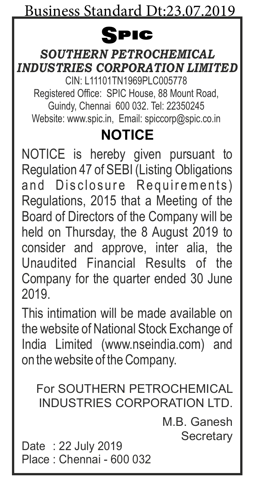## Spic

#### *SOUTHERN PETROCHEMICAL INDUSTRIES CORPORATION LIMITED*

CIN: L11101TN1969PLC005778 Registered Office: SPIC House, 88 Mount Road, Guindy, Chennai 600 032. Tel: 22350245 Website: www.spic.in, Email: spiccorp@spic.co.in

# **NOTICE**

NOTICE is hereby given pursuant to Regulation 47 of SEBI (Listing Obligations and Disclosure Requirements) Regulations, 2015 that a Meeting of the Board of Directors of the Company will be held on Thursday, the 8 August 2019 to consider and approve, inter alia, the Unaudited Financial Results of the Company for the quarter ended 30 June  $2010$ 

This intimation will be made available on the website of National Stock Exchange of India Limited (www.nseindia.com) and on the website of the Company.

For SOUTHERN PETROCHEMICAL INDUSTRIES CORPORATION LTD.

> M.B. Ganesh **Secretary**

Date : 22 July 2019 Place : Chennai - 600 032